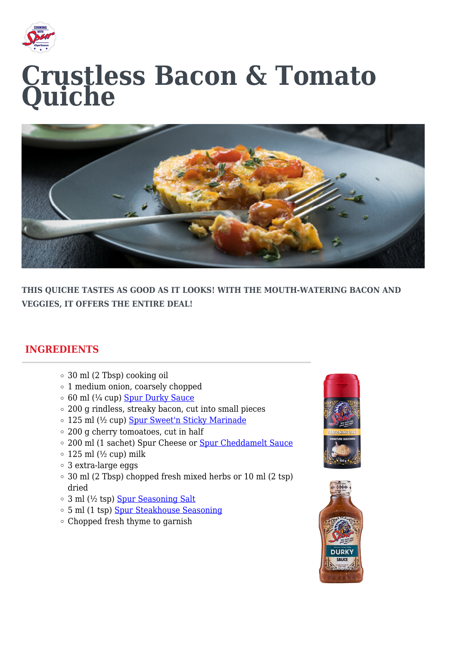

## **Crustless Bacon & Tomato Quiche**



**THIS QUICHE TASTES AS GOOD AS IT LOOKS! WITH THE MOUTH-WATERING BACON AND VEGGIES, IT OFFERS THE ENTIRE DEAL!**

## **INGREDIENTS**

- 30 ml (2 Tbsp) cooking oil
- 1 medium onion, coarsely chopped
- $\circ$  60 ml ( $\frac{1}{4}$  cup) [Spur Durky Sauce](https://spursauces.co.za/products/durky-sauce/)
- 200 g rindless, streaky bacon, cut into small pieces
- o 125 ml (½ cup) [Spur Sweet'n Sticky Marinade](https://spursauces.co.za/products/sweet-n-sticky-marinade/)
- 200 g cherry tomoatoes, cut in half
- 200 ml (1 sachet) Spur Cheese or [Spur Cheddamelt Sauce](https://spursauces.co.za/products/cheddamelt-sauce/)
- $\circ$  125 ml ( $\frac{1}{2}$  cup) milk
- 3 extra-large eggs
- 30 ml (2 Tbsp) chopped fresh mixed herbs or 10 ml (2 tsp) dried
- 3 ml (½ tsp) [Spur Seasoning Salt](https://spursauces.co.za/products/seasoning-salt/)
- 5 ml (1 tsp) [Spur Steakhouse Seasoning](https://spursauces.co.za/products/steakhouse-spice/)
- Chopped fresh thyme to garnish